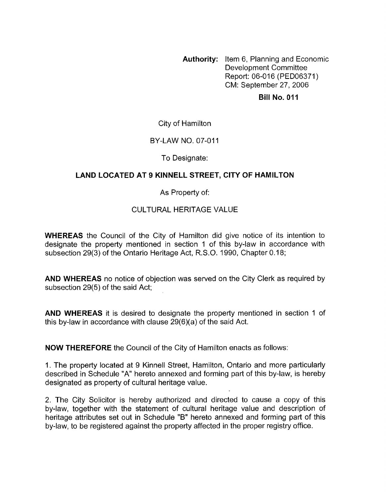**Authority:** Item 6, Planning and Economic Development Committee Report: 06-016 (PED06371) CM: September 27,2006

#### **Bill No. 011**

### City of Hamilton

### BY-LAW NO. 07-011

### To Designate:

## **LAND LOCATED AT 9 KINNELL STREET, CITY OF HAMILTON**

### As Property of:

## CULTURAL HERITAGE VALUE

**WHEREAS** the Council of the City of Hamilton did give notice of its intention to designate the property mentioned in section 1 of this by-law in accordance with subsection 29(3) of the Ontario Heritage Act, R.S.O. 1990, Chapter 0.18;

**AND WHEREAS** no notice of objection was sewed on the City Clerk as required by subsection 29(5) of the said Act;

**AND WHEREAS** it is desired to designate the property mentioned in section 1 of this by-law in accordance with clause 29(6)(a) of the said Act.

**NOW THEREFORE** the Council of the City of Hamilton enacts as follows:

1. The property located at 9 Kinnell Street, Hamilton, Ontario and more particularly described in Schedule "A" hereto annexed and forming part of this by-law, is hereby designated as property of cultural heritage value.

2. The City Solicitor is hereby authorized and directed to cause a copy of this by-law, together with the statement of cultural heritage value and description of heritage attributes set out in Schedule "B" hereto annexed and forming part of this by-law, to be registered against the property affected in the proper registry office.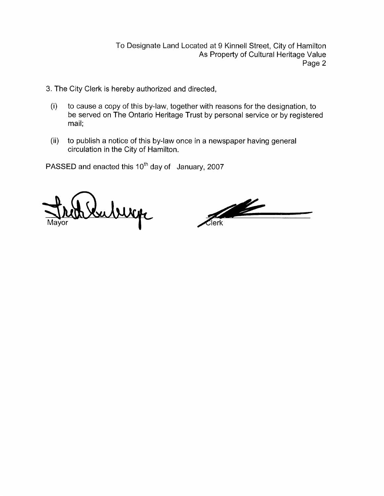To Designate Land Located at 9 Kinnell Street, City of Hamilton As Property of Cultural Heritage Value Page 2

- 3. The City Clerk is hereby authorized and directed,
	- (i) to cause a copy of this by-law, together with reasons for the designation, to be served on The Ontario Heritage Trust by personal service or by registered mail:
	- (ii) to publish a notice of this by-law once in a newspaper having general circulation in the City of Hamilton.

PASSED and enacted this 10<sup>th</sup> day of January, 2007

uburp

<u>The Contract of the Contract of the Contract of The Contract of The Contract of The Contract of The Contract of The Contract of The Contract of The Contract of The Contract of The Contract of The Contract of The Contract </u> .<br>Jerk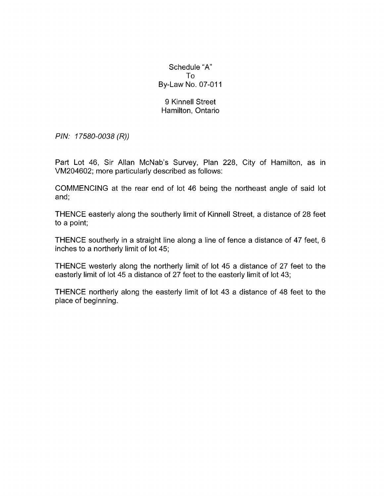Schedule "A" To By-Law No. 07-011

### 9 Kinnell Street Hamilton, Ontario

*PIN: 17580-0038 (R))* 

Part Lot 46, Sir Allan McNab's Survey, Plan 228, City of Hamilton, as in VM204602; more particularly described as follows:

COMMENCING at the rear end of lot 46 being the northeast angle of said lot and;

THENCE easterly along the southerly limit of Kinnell Street, a distance of 28 feet to a point;

THENCE southerly in a straight line along a line of fence a distance of 47 feet, 6 inches to a northerly limit of lot 45;

THENCE westerly along the northerly limit of lot 45 a distance of 27 feet to the easterly limit of lot 45 a distance of 27 feet to the easterly limit of lot 43;

THENCE northerly along the easterly limit of lot 43 a distance of 48 feet to the place of beginning.